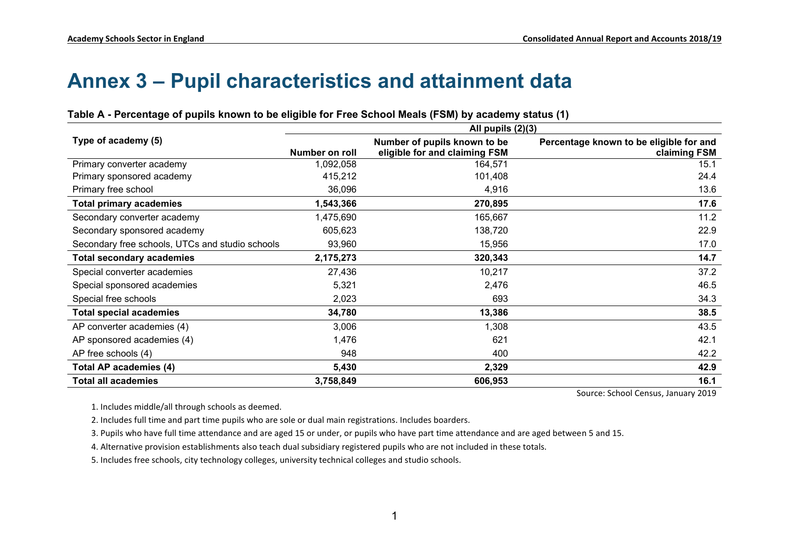# **Annex 3 – Pupil characteristics and attainment data**

|                                                 | All pupils $(2)(3)$ |                                                               |                                                         |  |  |  |  |  |  |  |
|-------------------------------------------------|---------------------|---------------------------------------------------------------|---------------------------------------------------------|--|--|--|--|--|--|--|
| Type of academy (5)                             | Number on roll      | Number of pupils known to be<br>eligible for and claiming FSM | Percentage known to be eligible for and<br>claiming FSM |  |  |  |  |  |  |  |
| Primary converter academy                       | 1,092,058           | 164,571                                                       | 15.1                                                    |  |  |  |  |  |  |  |
| Primary sponsored academy                       | 415,212             | 101,408                                                       | 24.4                                                    |  |  |  |  |  |  |  |
| Primary free school                             | 36,096              | 4,916                                                         | 13.6                                                    |  |  |  |  |  |  |  |
| <b>Total primary academies</b>                  | 1,543,366           | 270,895                                                       | 17.6                                                    |  |  |  |  |  |  |  |
| Secondary converter academy                     | 1,475,690           | 165,667                                                       | 11.2                                                    |  |  |  |  |  |  |  |
| Secondary sponsored academy                     | 605,623             | 138,720                                                       | 22.9                                                    |  |  |  |  |  |  |  |
| Secondary free schools, UTCs and studio schools | 93,960              | 15,956                                                        | 17.0                                                    |  |  |  |  |  |  |  |
| <b>Total secondary academies</b>                | 2,175,273           | 320,343                                                       | 14.7                                                    |  |  |  |  |  |  |  |
| Special converter academies                     | 27,436              | 10,217                                                        | 37.2                                                    |  |  |  |  |  |  |  |
| Special sponsored academies                     | 5,321               | 2,476                                                         | 46.5                                                    |  |  |  |  |  |  |  |
| Special free schools                            | 2,023               | 693                                                           | 34.3                                                    |  |  |  |  |  |  |  |
| <b>Total special academies</b>                  | 34,780              | 13,386                                                        | 38.5                                                    |  |  |  |  |  |  |  |
| AP converter academies (4)                      | 3,006               | 1,308                                                         | 43.5                                                    |  |  |  |  |  |  |  |
| AP sponsored academies (4)                      | 1,476               | 621                                                           | 42.1                                                    |  |  |  |  |  |  |  |
| AP free schools (4)                             | 948                 | 400                                                           | 42.2                                                    |  |  |  |  |  |  |  |
| <b>Total AP academies (4)</b>                   | 5,430               | 2,329                                                         | 42.9                                                    |  |  |  |  |  |  |  |
| <b>Total all academies</b>                      | 3,758,849           | 606,953                                                       | 16.1                                                    |  |  |  |  |  |  |  |

**Table A - Percentage of pupils known to be eligible for Free School Meals (FSM) by academy status (1)**

Source: School Census, January 2019

1. Includes middle/all through schools as deemed.

2. Includes full time and part time pupils who are sole or dual main registrations. Includes boarders.

3. Pupils who have full time attendance and are aged 15 or under, or pupils who have part time attendance and are aged between 5 and 15.

4. Alternative provision establishments also teach dual subsidiary registered pupils who are not included in these totals.

5. Includes free schools, city technology colleges, university technical colleges and studio schools.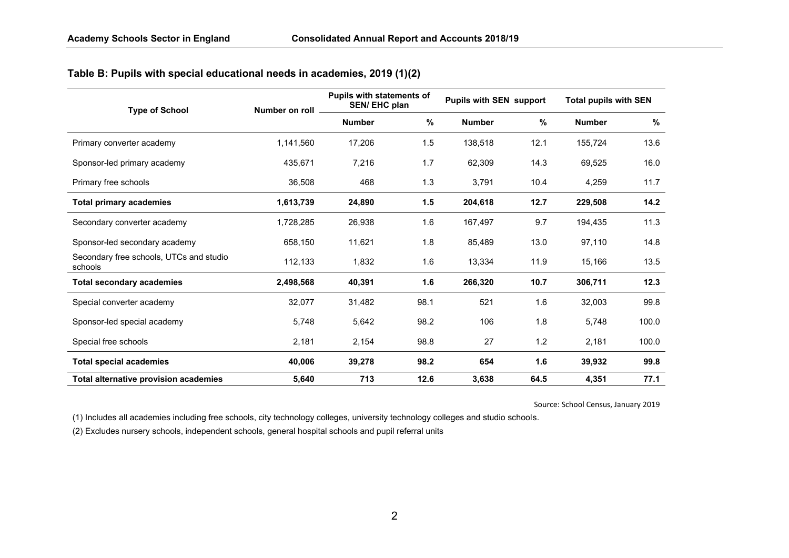# **Table B: Pupils with special educational needs in academies, 2019 (1)(2)**

| <b>Type of School</b>                              | Number on roll | <b>Pupils with statements of</b><br>SEN/EHC plan |      | <b>Pupils with SEN support</b> |      | <b>Total pupils with SEN</b> |       |  |
|----------------------------------------------------|----------------|--------------------------------------------------|------|--------------------------------|------|------------------------------|-------|--|
|                                                    |                | <b>Number</b>                                    | %    | <b>Number</b>                  | %    | <b>Number</b>                | %     |  |
| Primary converter academy                          | 1,141,560      | 17,206                                           | 1.5  | 138,518                        | 12.1 | 155,724                      | 13.6  |  |
| Sponsor-led primary academy                        | 435,671        | 7,216                                            | 1.7  | 62,309                         | 14.3 | 69,525                       | 16.0  |  |
| Primary free schools                               | 36,508         | 468                                              | 1.3  | 3,791                          | 10.4 | 4,259                        | 11.7  |  |
| <b>Total primary academies</b>                     | 1,613,739      | 24,890                                           | 1.5  | 204,618                        | 12.7 | 229,508                      | 14.2  |  |
| Secondary converter academy                        | 1,728,285      | 26,938                                           | 1.6  | 167,497                        | 9.7  | 194,435                      | 11.3  |  |
| Sponsor-led secondary academy                      | 658,150        | 11,621                                           | 1.8  | 85,489                         | 13.0 | 97,110                       | 14.8  |  |
| Secondary free schools, UTCs and studio<br>schools | 112,133        | 1,832                                            | 1.6  | 13,334                         | 11.9 | 15,166                       | 13.5  |  |
| <b>Total secondary academies</b>                   | 2,498,568      | 40,391                                           | 1.6  | 266,320                        | 10.7 | 306,711                      | 12.3  |  |
| Special converter academy                          | 32,077         | 31,482                                           | 98.1 | 521                            | 1.6  | 32,003                       | 99.8  |  |
| Sponsor-led special academy                        | 5,748          | 5,642                                            | 98.2 | 106                            | 1.8  | 5,748                        | 100.0 |  |
| Special free schools                               | 2,181          | 2,154                                            | 98.8 | 27                             | 1.2  | 2,181                        | 100.0 |  |
| <b>Total special academies</b>                     | 40,006         | 39,278                                           | 98.2 | 654                            | 1.6  | 39,932                       | 99.8  |  |
| <b>Total alternative provision academies</b>       | 5,640          | 713                                              | 12.6 | 3,638                          | 64.5 | 4,351                        | 77.1  |  |

Source: School Census, January 2019

(1) Includes all academies including free schools, city technology colleges, university technology colleges and studio schools.

(2) Excludes nursery schools, independent schools, general hospital schools and pupil referral units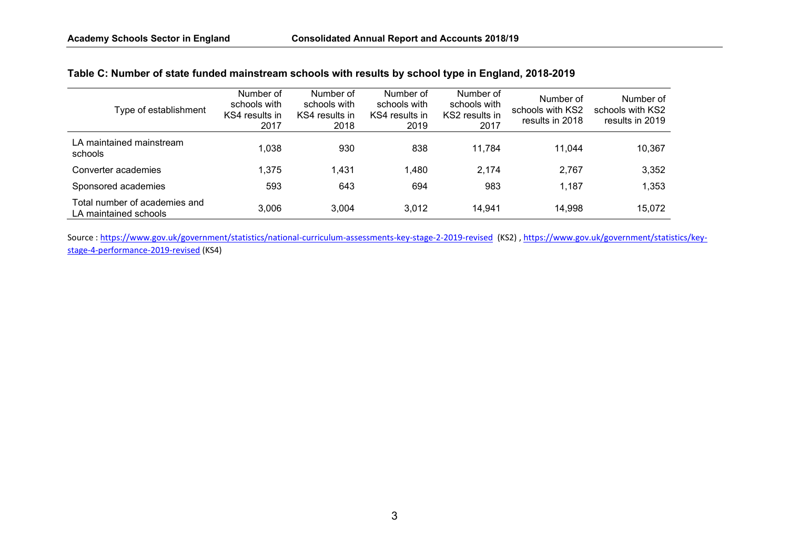### **Table C: Number of state funded mainstream schools with results by school type in England, 2018-2019**

| Type of establishment                                  | Number of<br>schools with<br>KS4 results in<br>2017 | Number of<br>schools with<br>KS4 results in<br>2018 | Number of<br>schools with<br>KS4 results in<br>2019 | Number of<br>schools with<br>KS2 results in<br>2017 | Number of<br>schools with KS2<br>results in 2018 | Number of<br>schools with KS2<br>results in 2019 |
|--------------------------------------------------------|-----------------------------------------------------|-----------------------------------------------------|-----------------------------------------------------|-----------------------------------------------------|--------------------------------------------------|--------------------------------------------------|
| LA maintained mainstream<br>schools                    | 1,038                                               | 930                                                 | 838                                                 | 11,784                                              | 11.044                                           | 10,367                                           |
| Converter academies                                    | 1,375                                               | 1,431                                               | 1,480                                               | 2.174                                               | 2,767                                            | 3,352                                            |
| Sponsored academies                                    | 593                                                 | 643                                                 | 694                                                 | 983                                                 | 1,187                                            | 1,353                                            |
| Total number of academies and<br>LA maintained schools | 3,006                                               | 3,004                                               | 3,012                                               | 14,941                                              | 14,998                                           | 15,072                                           |

Source:<https://www.gov.uk/government/statistics/national-curriculum-assessments-key-stage-2-2019-revised>(KS2)[, https://www.gov.uk/government/statistics/key](https://www.gov.uk/government/statistics/key-stage-4-performance-2019-revised)[stage-4-performance-2019-revised](https://www.gov.uk/government/statistics/key-stage-4-performance-2019-revised) (KS4)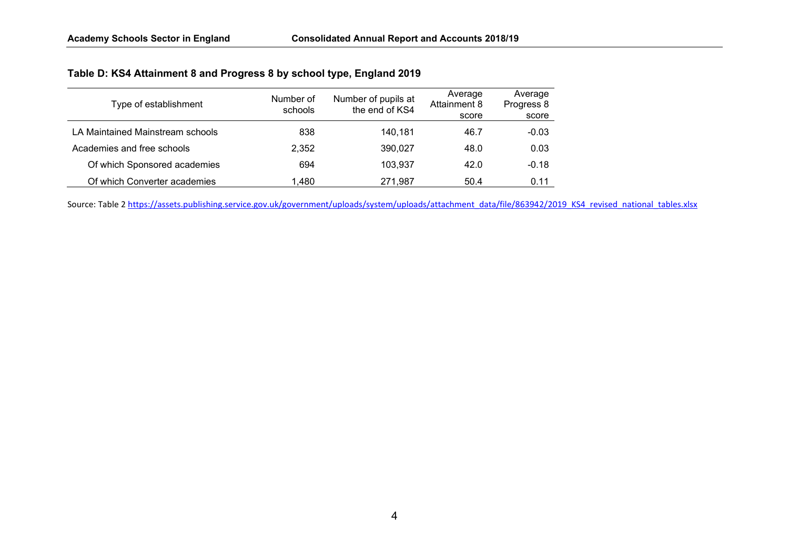| Type of establishment            | Number of<br>schools | Number of pupils at<br>the end of KS4 | Average<br>Attainment 8<br>score | Average<br>Progress 8<br>score |
|----------------------------------|----------------------|---------------------------------------|----------------------------------|--------------------------------|
| LA Maintained Mainstream schools | 838                  | 140,181                               | 46.7                             | $-0.03$                        |
| Academies and free schools       | 2,352                | 390,027                               | 48.0                             | 0.03                           |
| Of which Sponsored academies     | 694                  | 103,937                               | 42.0                             | $-0.18$                        |
| Of which Converter academies     | 1,480                | 271.987                               | 50.4                             | 0.11                           |

Source: Table 2 [https://assets.publishing.service.gov.uk/government/uploads/system/uploads/attachment\\_data/file/863942/2019\\_KS4\\_revised\\_national\\_tables.xlsx](https://assets.publishing.service.gov.uk/government/uploads/system/uploads/attachment_data/file/863942/2019_KS4_revised_national_tables.xlsx)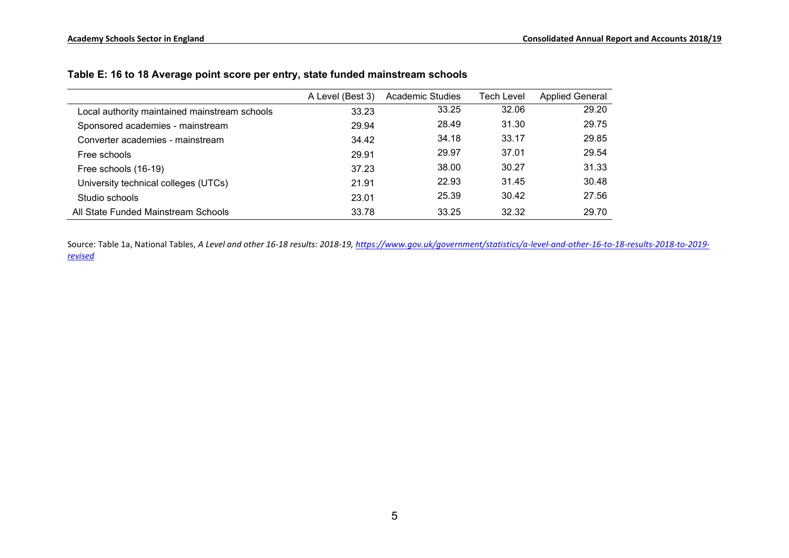|                                               | A Level (Best 3) | Academic Studies | Tech Level | <b>Applied General</b> |
|-----------------------------------------------|------------------|------------------|------------|------------------------|
| Local authority maintained mainstream schools | 33.23            | 33.25            | 32.06      | 29.20                  |
| Sponsored academies - mainstream              | 29.94            | 28.49            | 31.30      | 29.75                  |
| Converter academies - mainstream              | 34.42            | 34.18            | 33.17      | 29.85                  |
| Free schools                                  | 29.91            | 29.97            | 37.01      | 29.54                  |
| Free schools (16-19)                          | 37.23            | 38.00            | 30.27      | 31.33                  |
| University technical colleges (UTCs)          | 21.91            | 22.93            | 31.45      | 30.48                  |
| Studio schools                                | 23.01            | 25.39            | 30.42      | 27.56                  |
| All State Funded Mainstream Schools           | 33.78            | 33.25            | 32.32      | 29.70                  |

### **Table E: 16 to 18 Average point score per entry, state funded mainstream schools**

Source: Table 1a, National Tables, *A Level and other 16-18 results: 2018-19[, https://www.gov.uk/government/statistics/a-level-and-other-16-to-18-results-2018-to-2019](https://www.gov.uk/government/statistics/a-level-and-other-16-to-18-results-2018-to-2019-revised) [revised](https://www.gov.uk/government/statistics/a-level-and-other-16-to-18-results-2018-to-2019-revised)*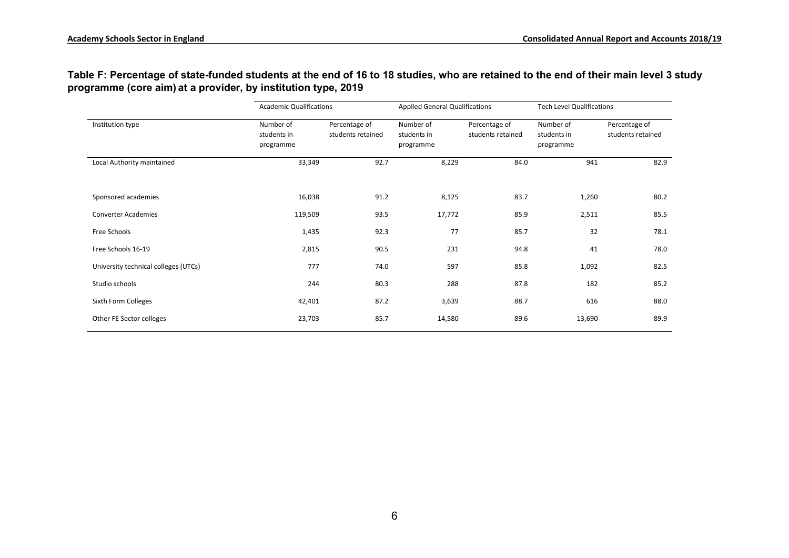### **Table F: Percentage of state-funded students at the end of 16 to 18 studies, who are retained to the end of their main level 3 study programme (core aim) at a provider, by institution type, 2019**

| <b>Academic Qualifications</b>       |                                       |                                    | <b>Applied General Qualifications</b> |                                    | <b>Tech Level Qualifications</b>      |                                    |  |  |
|--------------------------------------|---------------------------------------|------------------------------------|---------------------------------------|------------------------------------|---------------------------------------|------------------------------------|--|--|
| Institution type                     | Number of<br>students in<br>programme | Percentage of<br>students retained | Number of<br>students in<br>programme | Percentage of<br>students retained | Number of<br>students in<br>programme | Percentage of<br>students retained |  |  |
| Local Authority maintained           | 33,349                                | 92.7                               | 8,229                                 | 84.0                               | 941                                   | 82.9                               |  |  |
| Sponsored academies                  | 16,038                                | 91.2                               | 8,125                                 | 83.7                               | 1,260                                 | 80.2                               |  |  |
| <b>Converter Academies</b>           | 119,509                               | 93.5                               | 17,772                                | 85.9                               | 2,511                                 | 85.5                               |  |  |
| Free Schools                         | 1,435                                 | 92.3                               | 77                                    | 85.7                               | 32                                    | 78.1                               |  |  |
| Free Schools 16-19                   | 2,815                                 | 90.5                               | 231                                   | 94.8                               | 41                                    | 78.0                               |  |  |
| University technical colleges (UTCs) | 777                                   | 74.0                               | 597                                   | 85.8                               | 1,092                                 | 82.5                               |  |  |
| Studio schools                       | 244                                   | 80.3                               | 288                                   | 87.8                               | 182                                   | 85.2                               |  |  |
| Sixth Form Colleges                  | 42,401                                | 87.2                               | 3,639                                 | 88.7                               | 616                                   | 88.0                               |  |  |
| Other FE Sector colleges             | 23,703                                | 85.7                               | 14,580                                | 89.6                               | 13,690                                | 89.9                               |  |  |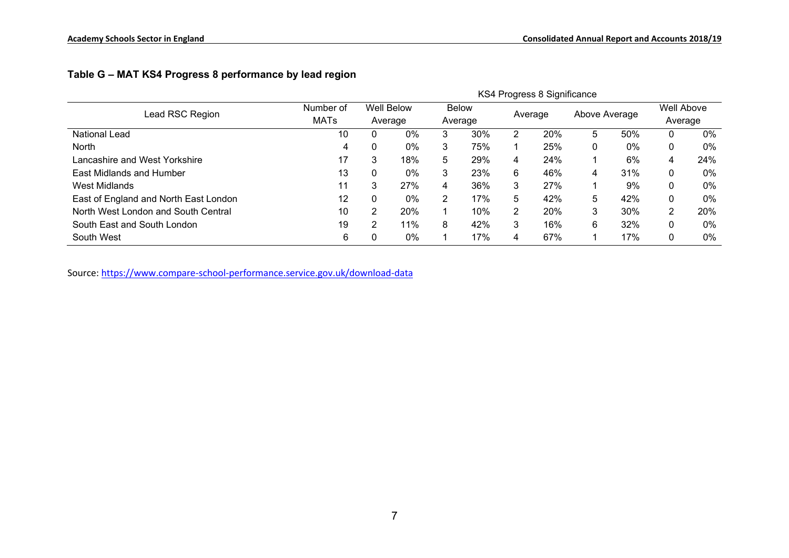|                                       |             |         |                   |         |              |         | KS4 Progress 8 Significance |               |       |            |       |
|---------------------------------------|-------------|---------|-------------------|---------|--------------|---------|-----------------------------|---------------|-------|------------|-------|
| Lead RSC Region                       | Number of   |         | <b>Well Below</b> |         | <b>Below</b> |         |                             |               |       | Well Above |       |
|                                       | <b>MATs</b> | Average |                   | Average |              | Average |                             | Above Average |       | Average    |       |
| <b>National Lead</b>                  | 10          |         | 0%                | 3       | 30%          | 2       | 20%                         | 5             | 50%   |            | $0\%$ |
| <b>North</b>                          | 4           |         | 0%                | 3       | 75%          |         | 25%                         | 0             | $0\%$ | 0          | 0%    |
| Lancashire and West Yorkshire         | 17          | 3       | 18%               | 5       | 29%          | 4       | 24%                         |               | 6%    | 4          | 24%   |
| East Midlands and Humber              | 13          |         | 0%                | 3       | 23%          | 6       | 46%                         | 4             | 31%   | 0          | 0%    |
| West Midlands                         | 11          | 3       | 27%               | 4       | 36%          | 3       | 27%                         |               | 9%    | 0          | 0%    |
| East of England and North East London | 12          |         | 0%                | 2       | 17%          | 5       | 42%                         | 5             | 42%   | 0          | 0%    |
| North West London and South Central   | 10          | ົ       | <b>20%</b>        |         | 10%          | 2       | 20%                         | 3             | 30%   | ົ          | 20%   |
| South East and South London           | 19          | ◠       | 11%               | 8       | 42%          | 3       | 16%                         | 6             | 32%   | 0          | 0%    |
| South West                            | 6           |         | 0%                |         | 17%          | 4       | 67%                         |               | 17%   | 0          | 0%    |

# **Table G – MAT KS4 Progress 8 performance by lead region**

Source: <https://www.compare-school-performance.service.gov.uk/download-data>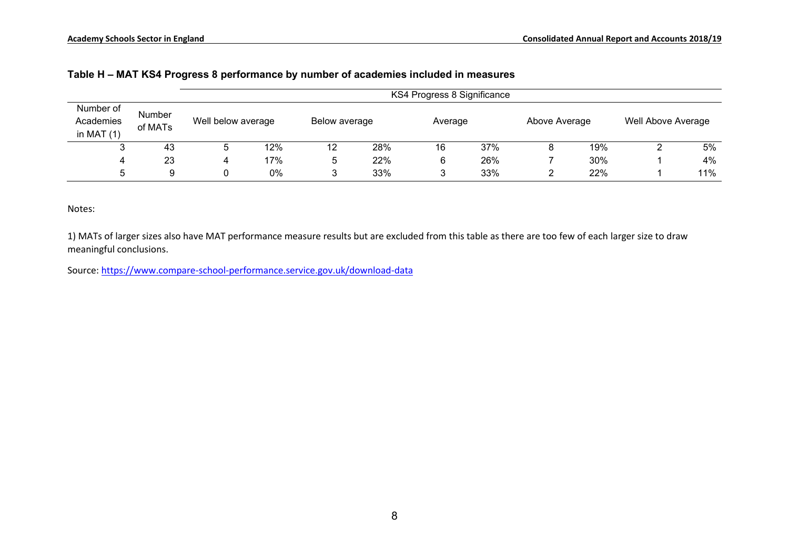|                                        |                          |                    | KS4 Progress 8 Significance |        |               |    |         |  |               |  |                    |  |  |  |  |
|----------------------------------------|--------------------------|--------------------|-----------------------------|--------|---------------|----|---------|--|---------------|--|--------------------|--|--|--|--|
| Number of<br>Academies<br>in MAT $(1)$ | <b>Number</b><br>of MATs | Well below average |                             |        | Below average |    | Average |  | Above Average |  | Well Above Average |  |  |  |  |
|                                        | 43                       | ა                  | 12%                         | 12     | 28%           | 16 | 37%     |  | 19%           |  | 5%                 |  |  |  |  |
| 4                                      | 23                       |                    | 17%                         | 5      | 22%           | 6  | 26%     |  | 30%           |  | 4%                 |  |  |  |  |
| 5                                      | 9                        |                    | 0%                          | ≏<br>w | 33%           |    | 33%     |  | 22%           |  | 11%                |  |  |  |  |

#### **Table H – MAT KS4 Progress 8 performance by number of academies included in measures**

Notes:

1) MATs of larger sizes also have MAT performance measure results but are excluded from this table as there are too few of each larger size to draw meaningful conclusions.

Source:<https://www.compare-school-performance.service.gov.uk/download-data>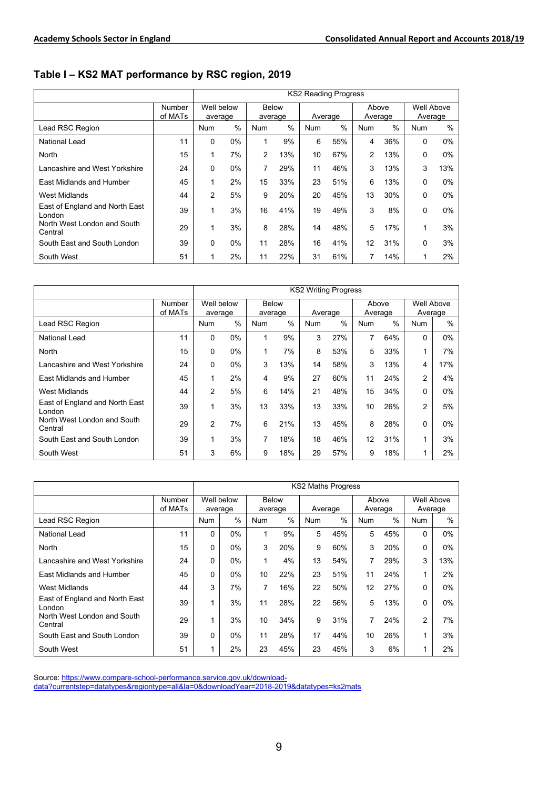**Table I – KS2 MAT performance by RSC region, 2019**

|                                          |                          | <b>KS2 Reading Progress</b> |                       |            |                         |            |         |            |                  |            |                       |
|------------------------------------------|--------------------------|-----------------------------|-----------------------|------------|-------------------------|------------|---------|------------|------------------|------------|-----------------------|
|                                          | <b>Number</b><br>of MATs |                             | Well below<br>average |            | <b>Below</b><br>average |            | Average |            | Above<br>Average |            | Well Above<br>Average |
| Lead RSC Region                          |                          | <b>Num</b>                  | $\frac{0}{0}$         | <b>Num</b> | $\%$                    | <b>Num</b> | $\%$    | <b>Num</b> | %                | <b>Num</b> | $\frac{0}{0}$         |
| National Lead                            | 11                       | $\Omega$                    | $0\%$                 | 1          | 9%                      | 6          | 55%     | 4          | 36%              | $\Omega$   | 0%                    |
| North                                    | 15                       | 1                           | 7%                    | 2          | 13%                     | 10         | 67%     | 2          | 13%              | 0          | $0\%$                 |
| I ancashire and West Yorkshire           | 24                       | 0                           | 0%                    | 7          | 29%                     | 11         | 46%     | 3          | 13%              | 3          | 13%                   |
| East Midlands and Humber                 | 45                       |                             | 2%                    | 15         | 33%                     | 23         | 51%     | 6          | 13%              | $\Omega$   | 0%                    |
| <b>West Midlands</b>                     | 44                       | $\mathfrak{p}$              | 5%                    | 9          | 20%                     | 20         | 45%     | 13         | 30%              | 0          | $0\%$                 |
| East of England and North East<br>London | 39                       | 1                           | 3%                    | 16         | 41%                     | 19         | 49%     | 3          | 8%               | 0          | $0\%$                 |
| North West London and South<br>Central   | 29                       |                             | 3%                    | 8          | 28%                     | 14         | 48%     | 5          | 17%              | 1          | 3%                    |
| South East and South London              | 39                       | 0                           | $0\%$                 | 11         | 28%                     | 16         | 41%     | 12         | 31%              | 0          | 3%                    |
| South West                               | 51                       |                             | 2%                    | 11         | 22%                     | 31         | 61%     |            | 14%              |            | 2%                    |

|                                          |                   |                | <b>KS2 Writing Progress</b> |            |                         |            |         |            |                  |                |                       |  |
|------------------------------------------|-------------------|----------------|-----------------------------|------------|-------------------------|------------|---------|------------|------------------|----------------|-----------------------|--|
|                                          | Number<br>of MATs |                | Well below<br>average       |            | <b>Below</b><br>average |            | Average |            | Above<br>Average |                | Well Above<br>Average |  |
| Lead RSC Region                          |                   | <b>Num</b>     | $\%$                        | <b>Num</b> | $\%$                    | <b>Num</b> | $\%$    | <b>Num</b> | $\frac{0}{0}$    | <b>Num</b>     | %                     |  |
| National Lead                            | 11                | 0              | $0\%$                       | 1          | 9%                      | 3          | 27%     | 7          | 64%              | 0              | $0\%$                 |  |
| North                                    | 15                | 0              | $0\%$                       | 1          | 7%                      | 8          | 53%     | 5          | 33%              |                | 7%                    |  |
| Lancashire and West Yorkshire            | 24                | 0              | $0\%$                       | 3          | 13%                     | 14         | 58%     | 3          | 13%              | 4              | 17%                   |  |
| East Midlands and Humber                 | 45                | 1              | 2%                          | 4          | 9%                      | 27         | 60%     | 11         | 24%              | $\overline{2}$ | 4%                    |  |
| <b>West Midlands</b>                     | 44                | $\overline{2}$ | 5%                          | 6          | 14%                     | 21         | 48%     | 15         | 34%              | 0              | $0\%$                 |  |
| East of England and North East<br>London | 39                | 1              | 3%                          | 13         | 33%                     | 13         | 33%     | 10         | 26%              | 2              | 5%                    |  |
| North West London and South<br>Central   | 29                | $\overline{2}$ | 7%                          | 6          | 21%                     | 13         | 45%     | 8          | 28%              | 0              | $0\%$                 |  |
| South East and South London              | 39                | 1              | 3%                          | 7          | 18%                     | 18         | 46%     | 12         | 31%              | 1              | 3%                    |  |
| South West                               | 51                | 3              | 6%                          | 9          | 18%                     | 29         | 57%     | 9          | 18%              |                | 2%                    |  |

|                                          |                   | <b>KS2 Maths Progress</b> |                       |            |                         |            |         |            |                  |            |                       |
|------------------------------------------|-------------------|---------------------------|-----------------------|------------|-------------------------|------------|---------|------------|------------------|------------|-----------------------|
|                                          | Number<br>of MATs |                           | Well below<br>average |            | <b>Below</b><br>average |            | Average |            | Above<br>Average |            | Well Above<br>Average |
| Lead RSC Region                          |                   | <b>Num</b>                | $\%$                  | <b>Num</b> | %                       | <b>Num</b> | %       | <b>Num</b> | $\frac{0}{0}$    | <b>Num</b> | $\%$                  |
| National Lead                            | 11                | 0                         | $0\%$                 | 1          | 9%                      | 5          | 45%     | 5          | 45%              | 0          | $0\%$                 |
| North                                    | 15                | 0                         | $0\%$                 | 3          | 20%                     | 9          | 60%     | 3          | 20%              | 0          | $0\%$                 |
| Lancashire and West Yorkshire            | 24                | 0                         | $0\%$                 | 1          | 4%                      | 13         | 54%     | 7          | 29%              | 3          | 13%                   |
| <b>Fast Midlands and Humber</b>          | 45                | 0                         | $0\%$                 | 10         | 22%                     | 23         | 51%     | 11         | 24%              |            | 2%                    |
| <b>West Midlands</b>                     | 44                | 3                         | 7%                    | 7          | 16%                     | 22         | 50%     | 12         | 27%              | 0          | $0\%$                 |
| East of England and North East<br>London | 39                |                           | 3%                    | 11         | 28%                     | 22         | 56%     | 5          | 13%              | $\Omega$   | $0\%$                 |
| North West London and South<br>Central   | 29                |                           | 3%                    | 10         | 34%                     | 9          | 31%     | 7          | 24%              | 2          | 7%                    |
| South East and South London              | 39                | 0                         | $0\%$                 | 11         | 28%                     | 17         | 44%     | 10         | 26%              | 1          | 3%                    |
| South West                               | 51                |                           | 2%                    | 23         | 45%                     | 23         | 45%     | 3          | 6%               |            | 2%                    |

Source: [https://www.compare-school-performance.service.gov.uk/download-](https://www.compare-school-performance.service.gov.uk/download-data?currentstep=datatypes®iontype=all&la=0&downloadYear=2018-2019&datatypes=ks2mats)

<u>[data?currentstep=datatypes&regiontype=all&la=0&downloadYear=2018-2019&datatypes=ks2mats](https://www.compare-school-performance.service.gov.uk/download-data?currentstep=datatypes®iontype=all&la=0&downloadYear=2018-2019&datatypes=ks2mats)</u>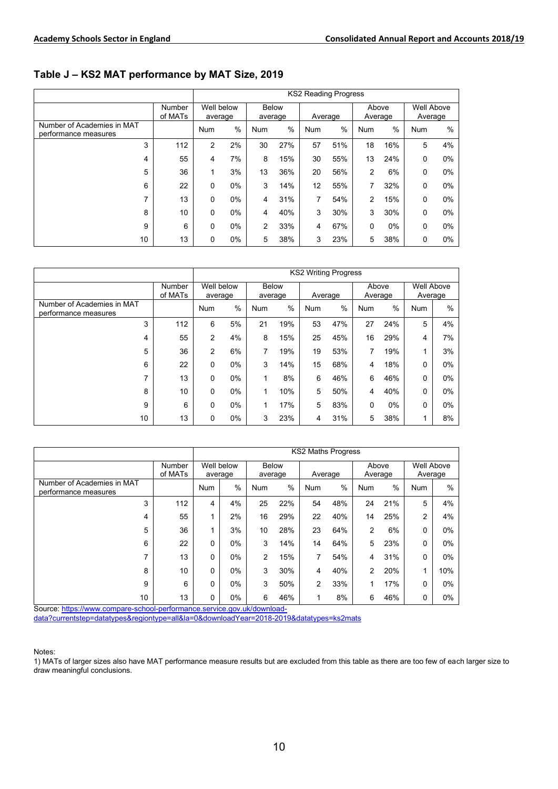#### **Table J – KS2 MAT performance by MAT Size, 2019**

|                                                    |                   | <b>KS2 Reading Progress</b> |                 |                         |     |            |     |                  |      |                       |      |
|----------------------------------------------------|-------------------|-----------------------------|-----------------|-------------------------|-----|------------|-----|------------------|------|-----------------------|------|
|                                                    | Number<br>of MATs | Well below<br>average       |                 | <b>Below</b><br>average |     | Average    |     | Above<br>Average |      | Well Above<br>Average |      |
| Number of Academies in MAT<br>performance measures |                   | Num                         | %<br><b>Num</b> |                         | %   | <b>Num</b> | %   |                  | $\%$ | <b>Num</b>            | $\%$ |
| 3                                                  | 112               | 2                           | 2%              | 30                      | 27% | 57         | 51% | 18               | 16%  | 5                     | 4%   |
| 4                                                  | 55                | 4                           | 7%              | 8                       | 15% | 30         | 55% | 13               | 24%  | 0                     | 0%   |
| 5                                                  | 36                | 1                           | 3%              | 13                      | 36% | 20         | 56% | $\overline{2}$   | 6%   | $\Omega$              | 0%   |
| 6                                                  | 22                | $\Omega$                    | 0%              | 3                       | 14% | 12         | 55% | 7                | 32%  | $\Omega$              | 0%   |
| 7                                                  | 13                | 0                           | 0%              | 4                       | 31% | 7          | 54% | 2                | 15%  | $\Omega$              | 0%   |
| 8                                                  | 10                | $\mathbf 0$                 | 0%              | 4                       | 40% | 3          | 30% | 3                | 30%  | $\Omega$              | 0%   |
| 9                                                  | 6                 | $\mathbf 0$                 | $0\%$           | 2                       | 33% | 4          | 67% | $\mathbf 0$      | 0%   | $\Omega$              | 0%   |
| 10                                                 | 13                | 0                           | $0\%$           | 5                       | 38% | 3          | 23% | 5                | 38%  | $\Omega$              | 0%   |

|                                                    |                   | <b>KS2 Writing Progress</b> |          |                         |      |                 |     |                  |     |                              |       |  |
|----------------------------------------------------|-------------------|-----------------------------|----------|-------------------------|------|-----------------|-----|------------------|-----|------------------------------|-------|--|
|                                                    | Number<br>of MATs | Well below<br>average       |          | <b>Below</b><br>average |      | Average         |     | Above<br>Average |     | <b>Well Above</b><br>Average |       |  |
| Number of Academies in MAT<br>performance measures |                   | <b>Num</b>                  | %<br>Num |                         | $\%$ | %<br><b>Num</b> |     | <b>Num</b>       | %   | <b>Num</b>                   | %     |  |
| 3                                                  | 112               | 6                           | 5%       | 21                      | 19%  | 53              | 47% | 27               | 24% | 5                            | 4%    |  |
| 4                                                  | 55                | 2                           | 4%       | 8                       | 15%  | 25              | 45% | 16               | 29% | 4                            | 7%    |  |
| 5                                                  | 36                | 2                           | 6%       | 7                       | 19%  | 19              | 53% | 7                | 19% |                              | 3%    |  |
| 6                                                  | 22                | 0                           | 0%       | 3                       | 14%  | 15              | 68% | 4                | 18% | 0                            | $0\%$ |  |
| 7                                                  | 13                | 0                           | 0%       | 1                       | 8%   | 6               | 46% | 6                | 46% | 0                            | $0\%$ |  |
| 8                                                  | 10                | 0                           | 0%       | 1                       | 10%  | 5               | 50% | 4                | 40% | 0                            | $0\%$ |  |
| 9                                                  | 6                 | 0                           | 0%       | 1                       | 17%  | 5               | 83% | 0                | 0%  | 0                            | $0\%$ |  |
| 10                                                 | 13                | 0                           | 0%       | 3                       | 23%  | 4               | 31% | 5                | 38% |                              | 8%    |  |

|                                                    |                          | <b>KS2 Maths Progress</b> |       |                         |     |                             |         |                  |               |                              |       |
|----------------------------------------------------|--------------------------|---------------------------|-------|-------------------------|-----|-----------------------------|---------|------------------|---------------|------------------------------|-------|
|                                                    | <b>Number</b><br>of MATs | Well below<br>average     |       | <b>Below</b><br>average |     |                             | Average | Above<br>Average |               | <b>Well Above</b><br>Average |       |
| Number of Academies in MAT<br>performance measures |                          | <b>Num</b>                | %     |                         | %   | $\frac{0}{0}$<br><b>Num</b> |         | <b>Num</b>       | $\frac{0}{0}$ | <b>Num</b>                   | $\%$  |
| 3                                                  | 112                      | 4                         | 4%    | 25                      | 22% | 54                          | 48%     | 24               | 21%           | 5                            | 4%    |
| 4                                                  | 55                       |                           | 2%    | 16                      | 29% | 22                          | 40%     | 14               | 25%           | 2                            | 4%    |
| 5                                                  | 36                       |                           | 3%    | 10                      | 28% | 23                          | 64%     | $\overline{2}$   | 6%            | 0                            | 0%    |
| 6                                                  | 22                       | 0                         | 0%    | 3                       | 14% | 14                          | 64%     | 5                | 23%           | 0                            | $0\%$ |
| 7                                                  | 13                       | 0                         | 0%    | 2                       | 15% | 7                           | 54%     | 4                | 31%           | $\Omega$                     | $0\%$ |
| 8                                                  | 10                       | 0                         | 0%    | 3                       | 30% | 4                           | 40%     | $\overline{2}$   | 20%           | 1                            | 10%   |
| 9                                                  | 6                        | $\Omega$                  | $0\%$ | 3                       | 50% | 2                           | 33%     |                  | 17%           | $\Omega$                     | 0%    |
| 10                                                 | 13                       | 0                         | 0%    | 6                       | 46% | 1                           | 8%      | 6                | 46%           | 0                            | $0\%$ |

Source: [https://www.compare-school-performance.service.gov.uk/download-](https://www.compare-school-performance.service.gov.uk/download-data?currentstep=datatypes®iontype=all&la=0&downloadYear=2018-2019&datatypes=ks2mats)

[data?currentstep=datatypes&regiontype=all&la=0&downloadYear=2018-2019&datatypes=ks2mats](https://www.compare-school-performance.service.gov.uk/download-data?currentstep=datatypes®iontype=all&la=0&downloadYear=2018-2019&datatypes=ks2mats)

#### Notes:

1) MATs of larger sizes also have MAT performance measure results but are excluded from this table as there are too few of each larger size to draw meaningful conclusions.